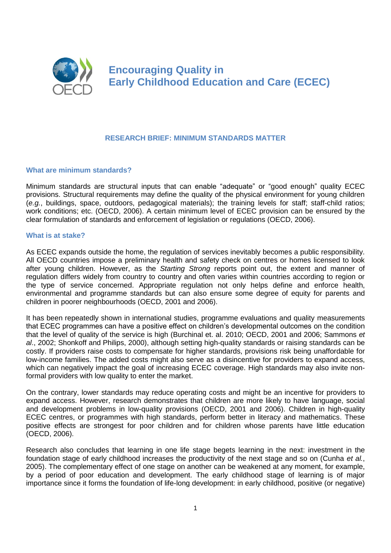

### **RESEARCH BRIEF: MINIMUM STANDARDS MATTER**

## **What are minimum standards?**

Minimum standards are structural inputs that can enable "adequate" or "good enough" quality ECEC provisions. Structural requirements may define the quality of the physical environment for young children (*e.g.*, buildings, space, outdoors, pedagogical materials); the training levels for staff; staff-child ratios; work conditions; etc. (OECD, 2006). A certain minimum level of ECEC provision can be ensured by the clear formulation of standards and enforcement of legislation or regulations (OECD, 2006).

### **What is at stake?**

As ECEC expands outside the home, the regulation of services inevitably becomes a public responsibility. All OECD countries impose a preliminary health and safety check on centres or homes licensed to look after young children. However, as the *Starting Strong* reports point out, the extent and manner of regulation differs widely from country to country and often varies within countries according to region or the type of service concerned. Appropriate regulation not only helps define and enforce health, environmental and programme standards but can also ensure some degree of equity for parents and children in poorer neighbourhoods (OECD, 2001 and 2006).

It has been repeatedly shown in international studies, programme evaluations and quality measurements that ECEC programmes can have a positive effect on children's developmental outcomes on the condition that the level of quality of the service is high (Burchinal et. al. 2010; OECD, 2001 and 2006; Sammons *et al*., 2002; Shonkoff and Philips, 2000), although setting high-quality standards or raising standards can be costly. If providers raise costs to compensate for higher standards, provisions risk being unaffordable for low-income families. The added costs might also serve as a disincentive for providers to expand access, which can negatively impact the goal of increasing ECEC coverage. High standards may also invite nonformal providers with low quality to enter the market.

On the contrary, lower standards may reduce operating costs and might be an incentive for providers to expand access. However, research demonstrates that children are more likely to have language, social and development problems in low-quality provisions (OECD, 2001 and 2006). Children in high-quality ECEC centres, or programmes with high standards, perform better in literacy and mathematics. These positive effects are strongest for poor children and for children whose parents have little education (OECD, 2006).

Research also concludes that learning in one life stage begets learning in the next: investment in the foundation stage of early childhood increases the productivity of the next stage and so on (Cunha *et al.*, 2005). The complementary effect of one stage on another can be weakened at any moment, for example, by a period of poor education and development. The early childhood stage of learning is of major importance since it forms the foundation of life-long development: in early childhood, positive (or negative)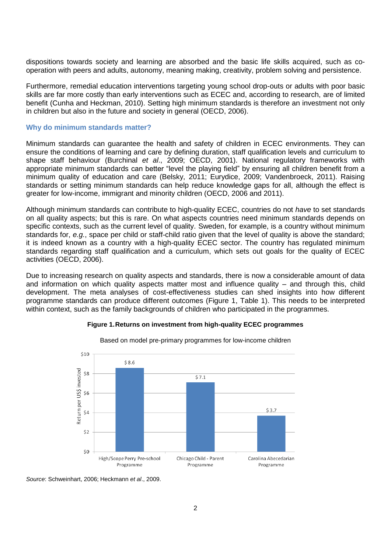dispositions towards society and learning are absorbed and the basic life skills acquired, such as cooperation with peers and adults, autonomy, meaning making, creativity, problem solving and persistence.

Furthermore, remedial education interventions targeting young school drop-outs or adults with poor basic skills are far more costly than early interventions such as ECEC and, according to research, are of limited benefit (Cunha and Heckman, 2010). Setting high minimum standards is therefore an investment not only in children but also in the future and society in general (OECD, 2006).

## **Why do minimum standards matter?**

Minimum standards can guarantee the health and safety of children in ECEC environments. They can ensure the conditions of learning and care by defining duration, staff qualification levels and curriculum to shape staff behaviour (Burchinal *et al*., 2009; OECD, 2001). National regulatory frameworks with appropriate minimum standards can better "level the playing field" by ensuring all children benefit from a minimum quality of education and care (Belsky, 2011; Eurydice, 2009; Vandenbroeck, 2011). Raising standards or setting minimum standards can help reduce knowledge gaps for all, although the effect is greater for low-income, immigrant and minority children (OECD, 2006 and 2011).

Although minimum standards can contribute to high-quality ECEC, countries do not *have* to set standards on all quality aspects; but this is rare. On what aspects countries need minimum standards depends on specific contexts, such as the current level of quality. Sweden, for example, is a country without minimum standards for, *e.g.*, space per child or staff-child ratio given that the level of quality is above the standard; it is indeed known as a country with a high-quality ECEC sector. The country has regulated minimum standards regarding staff qualification and a curriculum, which sets out goals for the quality of ECEC activities (OECD, 2006).

Due to increasing research on quality aspects and standards, there is now a considerable amount of data and information on which quality aspects matter most and influence quality – and through this, child development. The meta analyses of cost-effectiveness studies can shed insights into how different programme standards can produce different outcomes (Figure 1, Table 1). This needs to be interpreted within context, such as the family backgrounds of children who participated in the programmes.



# Based on model pre-primary programmes for low-income children

**Figure 1.Returns on investment from high-quality ECEC programmes**

*Source*: Schweinhart, 2006; Heckmann *et al*., 2009.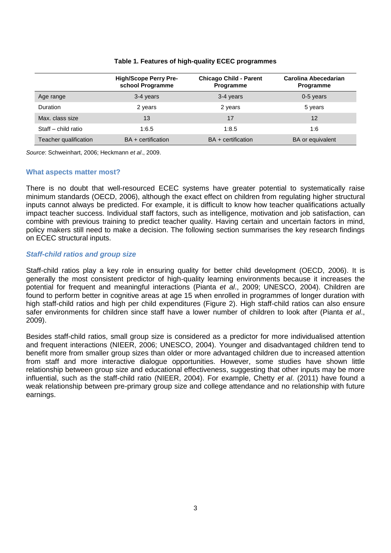## **Table 1. Features of high-quality ECEC programmes**

|                       | <b>High/Scope Perry Pre-</b><br>school Programme | <b>Chicago Child - Parent</b><br>Programme | Carolina Abecedarian<br>Programme |
|-----------------------|--------------------------------------------------|--------------------------------------------|-----------------------------------|
| Age range             | 3-4 years                                        | 3-4 years                                  | 0-5 years                         |
| <b>Duration</b>       | 2 years                                          | 2 years                                    | 5 years                           |
| Max. class size       | 13                                               | 17                                         | 12                                |
| Staff – child ratio   | 1:6.5                                            | 1:8.5                                      | 1:6                               |
| Teacher qualification | BA + certification                               | BA + certification                         | BA or equivalent                  |

*Source*: Schweinhart, 2006; Heckmann *et al*., 2009.

#### **What aspects matter most?**

There is no doubt that well-resourced ECEC systems have greater potential to systematically raise minimum standards (OECD, 2006), although the exact effect on children from regulating higher structural inputs cannot always be predicted. For example, it is difficult to know how teacher qualifications actually impact teacher success. Individual staff factors, such as intelligence, motivation and job satisfaction, can combine with previous training to predict teacher quality. Having certain and uncertain factors in mind, policy makers still need to make a decision. The following section summarises the key research findings on ECEC structural inputs.

### *Staff-child ratios and group size*

Staff-child ratios play a key role in ensuring quality for better child development (OECD, 2006). It is generally the most consistent predictor of high-quality learning environments because it increases the potential for frequent and meaningful interactions (Pianta *et al*., 2009; UNESCO, 2004). Children are found to perform better in cognitive areas at age 15 when enrolled in programmes of longer duration with high staff-child ratios and high per child expenditures (Figure 2). High staff-child ratios can also ensure safer environments for children since staff have a lower number of children to look after (Pianta *et al*., 2009).

Besides staff-child ratios, small group size is considered as a predictor for more individualised attention and frequent interactions (NIEER, 2006; UNESCO, 2004). Younger and disadvantaged children tend to benefit more from smaller group sizes than older or more advantaged children due to increased attention from staff and more interactive dialogue opportunities. However, some studies have shown little relationship between group size and educational effectiveness, suggesting that other inputs may be more influential, such as the staff-child ratio (NIEER, 2004). For example, Chetty *et al*. (2011) have found a weak relationship between pre-primary group size and college attendance and no relationship with future earnings.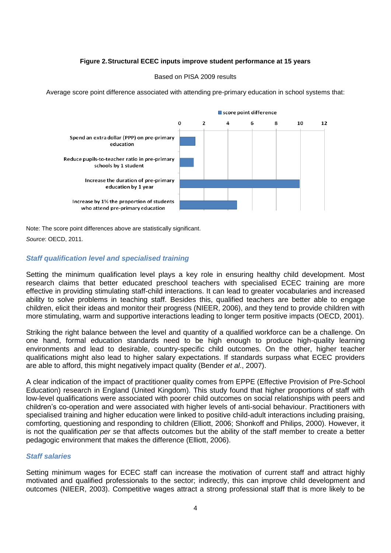## **Figure 2.Structural ECEC inputs improve student performance at 15 years**

#### Based on PISA 2009 results

Average score point difference associated with attending pre-primary education in school systems that:



Note: The score point differences above are statistically significant.

*Source*: OECD, 2011.

### *Staff qualification level and specialised training*

Setting the minimum qualification level plays a key role in ensuring healthy child development. Most research claims that better educated preschool teachers with specialised ECEC training are more effective in providing stimulating staff-child interactions. It can lead to greater vocabularies and increased ability to solve problems in teaching staff. Besides this, qualified teachers are better able to engage children, elicit their ideas and monitor their progress (NIEER, 2006), and they tend to provide children with more stimulating, warm and supportive interactions leading to longer term positive impacts (OECD, 2001).

Striking the right balance between the level and quantity of a qualified workforce can be a challenge. On one hand, formal education standards need to be high enough to produce high-quality learning environments and lead to desirable, country-specific child outcomes. On the other, higher teacher qualifications might also lead to higher salary expectations. If standards surpass what ECEC providers are able to afford, this might negatively impact quality (Bender *et al*., 2007).

A clear indication of the impact of practitioner quality comes from EPPE (Effective Provision of Pre-School Education) research in England (United Kingdom). This study found that higher proportions of staff with low-level qualifications were associated with poorer child outcomes on social relationships with peers and children's co-operation and were associated with higher levels of anti-social behaviour. Practitioners with specialised training and higher education were linked to positive child-adult interactions including praising, comforting, questioning and responding to children (Elliott, 2006; Shonkoff and Philips, 2000). However, it is not the qualification *per se* that affects outcomes but the ability of the staff member to create a better pedagogic environment that makes the difference (Elliott, 2006).

### *Staff salaries*

Setting minimum wages for ECEC staff can increase the motivation of current staff and attract highly motivated and qualified professionals to the sector; indirectly, this can improve child development and outcomes (NIEER, 2003). Competitive wages attract a strong professional staff that is more likely to be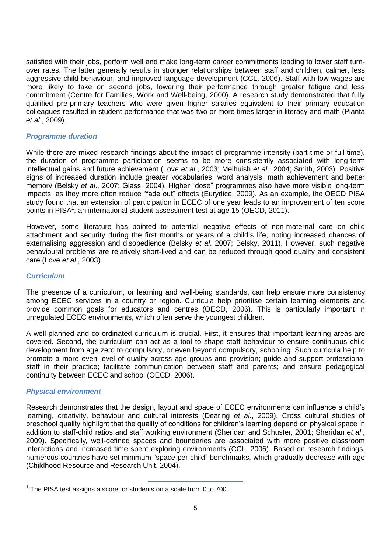satisfied with their jobs, perform well and make long-term career commitments leading to lower staff turnover rates. The latter generally results in stronger relationships between staff and children, calmer, less aggressive child behaviour, and improved language development (CCL, 2006). Staff with low wages are more likely to take on second jobs, lowering their performance through greater fatigue and less commitment (Centre for Families, Work and Well-being, 2000). A research study demonstrated that fully qualified pre-primary teachers who were given higher salaries equivalent to their primary education colleagues resulted in student performance that was two or more times larger in literacy and math (Pianta *et al*., 2009).

# *Programme duration*

While there are mixed research findings about the impact of programme intensity (part-time or full-time), the duration of programme participation seems to be more consistently associated with long-term intellectual gains and future achievement (Love *et al*., 2003; Melhuish *et al*., 2004; Smith, 2003). Positive signs of increased duration include greater vocabularies, word analysis, math achievement and better memory (Belsky *et al*., 2007; Glass, 2004). Higher "dose" programmes also have more visible long-term impacts, as they more often reduce "fade out" effects (Eurydice, 2009). As an example, the OECD PISA study found that an extension of participation in ECEC of one year leads to an improvement of ten score points in PISA<sup>1</sup>, an international student assessment test at age 15 (OECD, 2011).

However, some literature has pointed to potential negative effects of non-maternal care on child attachment and security during the first months or years of a child's life, noting increased chances of externalising aggression and disobedience (Belsky *et al*. 2007; Belsky, 2011). However, such negative behavioural problems are relatively short-lived and can be reduced through good quality and consistent care (Love *et al*., 2003).

## *Curriculum*

The presence of a curriculum, or learning and well-being standards, can help ensure more consistency among ECEC services in a country or region. Curricula help prioritise certain learning elements and provide common goals for educators and centres (OECD, 2006). This is particularly important in unregulated ECEC environments, which often serve the youngest children.

A well-planned and co-ordinated curriculum is crucial. First, it ensures that important learning areas are covered. Second, the curriculum can act as a tool to shape staff behaviour to ensure continuous child development from age zero to compulsory, or even beyond compulsory, schooling. Such curricula help to promote a more even level of quality across age groups and provision; guide and support professional staff in their practice; facilitate communication between staff and parents; and ensure pedagogical continuity between ECEC and school (OECD, 2006).

# *Physical environment*

Research demonstrates that the design, layout and space of ECEC environments can influence a child's learning, creativity, behaviour and cultural interests (Dearing *et al*., 2009). Cross cultural studies of preschool quality highlight that the quality of conditions for children's learning depend on physical space in addition to staff-child ratios and staff working environment (Sheridan and Schuster, 2001; Sheridan *et al*., 2009). Specifically, well-defined spaces and boundaries are associated with more positive classroom interactions and increased time spent exploring environments (CCL, 2006). Based on research findings, numerous countries have set minimum "space per child" benchmarks, which gradually decrease with age (Childhood Resource and Research Unit, 2004).

 $1$  The PISA test assigns a score for students on a scale from 0 to 700.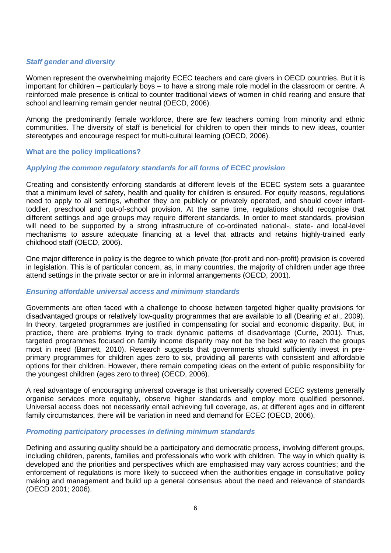# *Staff gender and diversity*

Women represent the overwhelming majority ECEC teachers and care givers in OECD countries. But it is important for children – particularly boys – to have a strong male role model in the classroom or centre. A reinforced male presence is critical to counter traditional views of women in child rearing and ensure that school and learning remain gender neutral (OECD, 2006).

Among the predominantly female workforce, there are few teachers coming from minority and ethnic communities. The diversity of staff is beneficial for children to open their minds to new ideas, counter stereotypes and encourage respect for multi-cultural learning (OECD, 2006).

# **What are the policy implications?**

## *Applying the common regulatory standards for all forms of ECEC provision*

Creating and consistently enforcing standards at different levels of the ECEC system sets a guarantee that a minimum level of safety, health and quality for children is ensured. For equity reasons, regulations need to apply to all settings, whether they are publicly or privately operated, and should cover infanttoddler, preschool and out-of-school provision. At the same time, regulations should recognise that different settings and age groups may require different standards. In order to meet standards, provision will need to be supported by a strong infrastructure of co-ordinated national-, state- and local-level mechanisms to assure adequate financing at a level that attracts and retains highly-trained early childhood staff (OECD, 2006).

One major difference in policy is the degree to which private (for-profit and non-profit) provision is covered in legislation. This is of particular concern, as, in many countries, the majority of children under age three attend settings in the private sector or are in informal arrangements (OECD, 2001).

## *Ensuring affordable universal access and minimum standards*

Governments are often faced with a challenge to choose between targeted higher quality provisions for disadvantaged groups or relatively low-quality programmes that are available to all (Dearing *et al*., 2009). In theory, targeted programmes are justified in compensating for social and economic disparity. But, in practice, there are problems trying to track dynamic patterns of disadvantage (Currie, 2001). Thus, targeted programmes focused on family income disparity may not be the best way to reach the groups most in need (Barnett, 2010). Research suggests that governments should sufficiently invest in preprimary programmes for children ages zero to six, providing all parents with consistent and affordable options for their children. However, there remain competing ideas on the extent of public responsibility for the youngest children (ages zero to three) (OECD, 2006).

A real advantage of encouraging universal coverage is that universally covered ECEC systems generally organise services more equitably, observe higher standards and employ more qualified personnel. Universal access does not necessarily entail achieving full coverage, as, at different ages and in different family circumstances, there will be variation in need and demand for ECEC (OECD, 2006).

## *Promoting participatory processes in defining minimum standards*

Defining and assuring quality should be a participatory and democratic process, involving different groups, including children, parents, families and professionals who work with children. The way in which quality is developed and the priorities and perspectives which are emphasised may vary across countries; and the enforcement of regulations is more likely to succeed when the authorities engage in consultative policy making and management and build up a general consensus about the need and relevance of standards (OECD 2001; 2006).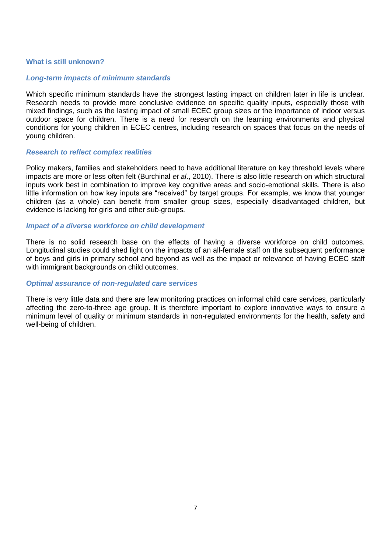# **What is still unknown?**

### *Long-term impacts of minimum standards*

Which specific minimum standards have the strongest lasting impact on children later in life is unclear. Research needs to provide more conclusive evidence on specific quality inputs, especially those with mixed findings, such as the lasting impact of small ECEC group sizes or the importance of indoor versus outdoor space for children. There is a need for research on the learning environments and physical conditions for young children in ECEC centres, including research on spaces that focus on the needs of young children.

#### *Research to reflect complex realities*

Policy makers, families and stakeholders need to have additional literature on key threshold levels where impacts are more or less often felt (Burchinal *et al*., 2010). There is also little research on which structural inputs work best in combination to improve key cognitive areas and socio-emotional skills. There is also little information on how key inputs are "received" by target groups. For example, we know that younger children (as a whole) can benefit from smaller group sizes, especially disadvantaged children, but evidence is lacking for girls and other sub-groups.

### *Impact of a diverse workforce on child development*

There is no solid research base on the effects of having a diverse workforce on child outcomes. Longitudinal studies could shed light on the impacts of an all-female staff on the subsequent performance of boys and girls in primary school and beyond as well as the impact or relevance of having ECEC staff with immigrant backgrounds on child outcomes.

### *Optimal assurance of non-regulated care services*

There is very little data and there are few monitoring practices on informal child care services, particularly affecting the zero-to-three age group. It is therefore important to explore innovative ways to ensure a minimum level of quality or minimum standards in non-regulated environments for the health, safety and well-being of children.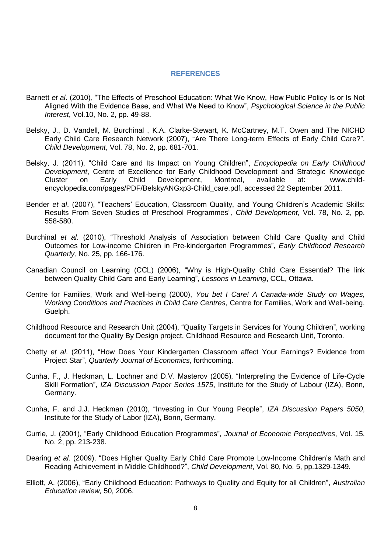#### **REFERENCES**

- Barnett *et al*. (2010)*,* "The Effects of Preschool Education: What We Know, How Public Policy Is or Is Not Aligned With the Evidence Base, and What We Need to Know", *Psychological Science in the Public Interest*, Vol.10, No. 2, pp. 49-88.
- Belsky, J., D. Vandell, M. Burchinal , K.A. Clarke-Stewart, K. McCartney, M.T. Owen and The NICHD Early Child Care Research Network (2007), "Are There Long-term Effects of Early Child Care?", *Child Development*, Vol. 78, No. 2, pp. 681-701.
- Belsky, J. (2011), "Child Care and Its Impact on Young Children", *Encyclopedia on Early Childhood Development*, Centre of Excellence for Early Childhood Development and Strategic Knowledge Cluster on Early Child Development, Montreal, available at: www.childencyclopedia.com/pages/PDF/BelskyANGxp3-Child\_care.pdf, accessed 22 September 2011.
- Bender *et al*. (2007), "Teachers' Education, Classroom Quality, and Young Children's Academic Skills: Results From Seven Studies of Preschool Programmes"*, Child Development*, Vol. 78, No. 2, pp. 558-580.
- Burchinal *et al*. (2010), "Threshold Analysis of Association between Child Care Quality and Child Outcomes for Low-income Children in Pre-kindergarten Programmes", *Early Childhood Research Quarterly,* No. 25, pp. 166-176.
- Canadian Council on Learning (CCL) (2006), "Why is High-Quality Child Care Essential? The link between Quality Child Care and Early Learning", *Lessons in Learning*, CCL, Ottawa.
- Centre for Families, Work and Well-being (2000), *You bet I Care! A Canada-wide Study on Wages, Working Conditions and Practices in Child Care Centres*, Centre for Families, Work and Well-being, Guelph.
- Childhood Resource and Research Unit (2004), "Quality Targets in Services for Young Children", working document for the Quality By Design project, Childhood Resource and Research Unit, Toronto.
- Chetty *et al*. (2011), "How Does Your Kindergarten Classroom affect Your Earnings? Evidence from Project Star", *Quarterly Journal of Economics*, forthcoming.
- Cunha, F., J. Heckman, L. Lochner and D.V. Masterov (2005), "Interpreting the Evidence of Life-Cycle Skill Formation", *IZA Discussion Paper Series 1575*, Institute for the Study of Labour (IZA), Bonn, Germany.
- Cunha, F. and J.J. Heckman (2010), "Investing in Our Young People", *IZA Discussion Papers 5050*, Institute for the Study of Labor (IZA), Bonn, Germany.
- Currie, J. (2001), "Early Childhood Education Programmes", *Journal of Economic Perspectives*, Vol. 15, No. 2, pp. 213-238.
- Dearing *et al*. (2009), "Does Higher Quality Early Child Care Promote Low-Income Children's Math and Reading Achievement in Middle Childhood?", *Child Development*, Vol. 80, No. 5, pp.1329-1349.
- Elliott, A. (2006), "Early Childhood Education: Pathways to Quality and Equity for all Children", *Australian Education review,* 50, 2006.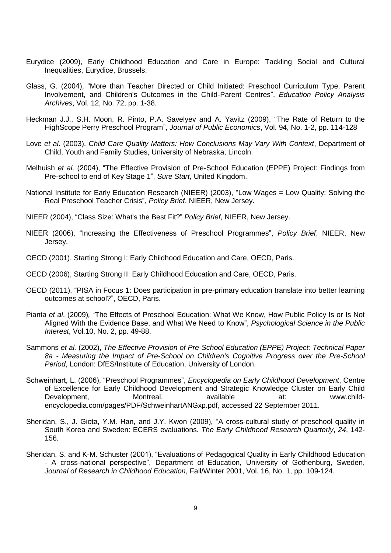- Eurydice (2009), Early Childhood Education and Care in Europe: Tackling Social and Cultural Inequalities, Eurydice, Brussels.
- Glass, G. (2004), "More than Teacher Directed or Child Initiated: Preschool Curriculum Type, Parent Involvement, and Children's Outcomes in the Child-Parent Centres", *Education Policy Analysis Archives*, Vol. 12, No. 72, pp. 1-38.
- Heckman J.J., S.H. Moon, R. Pinto, P.A. Savelyev and A. Yavitz (2009), "The Rate of Return to the HighScope Perry Preschool Program", *Journal of Public Economics*, Vol. 94, No. 1-2, pp. 114-128
- Love *et al*. (2003), *Child Care Quality Matters: How Conclusions May Vary With Context*, Department of Child, Youth and Family Studies, University of Nebraska, Lincoln.
- Melhuish *et al*. (2004), "The Effective Provision of Pre-School Education (EPPE) Project: Findings from Pre-school to end of Key Stage 1", *Sure Start*, United Kingdom.
- National Institute for Early Education Research (NIEER) (2003), "Low Wages = Low Quality: Solving the Real Preschool Teacher Crisis", *Policy Brief*, NIEER, New Jersey.
- NIEER (2004), "Class Size: What's the Best Fit?" *Policy Brief*, NIEER, New Jersey.
- NIEER (2006), "Increasing the Effectiveness of Preschool Programmes", *Policy Brief*, NIEER, New Jersey.
- OECD (2001), Starting Strong I: Early Childhood Education and Care, OECD, Paris.
- OECD (2006), Starting Strong II: Early Childhood Education and Care, OECD, Paris.
- OECD (2011), "PISA in Focus 1: Does participation in pre-primary education translate into better learning outcomes at school?", OECD, Paris.
- Pianta *et al*. (2009)*,* "The Effects of Preschool Education: What We Know, How Public Policy Is or Is Not Aligned With the Evidence Base, and What We Need to Know", *Psychological Science in the Public Interest*, Vol.10, No. 2, pp. 49-88.
- Sammons *et al.* (2002), *The Effective Provision of Pre-School Education (EPPE) Project: Technical Paper 8a - Measuring the Impact of Pre-School on Children's Cognitive Progress over the Pre-School Period*, London: DfES/Institute of Education, University of London.
- Schweinhart, L. (2006), "Preschool Programmes", *Encyclopedia on Early Childhood Development*, Centre of Excellence for Early Childhood Development and Strategic Knowledge Cluster on Early Child Development. Montreal, available at: www.childencyclopedia.com/pages/PDF/SchweinhartANGxp.pdf, accessed 22 September 2011.
- Sheridan, S., J. Giota, Y.M. Han, and J.Y. Kwon (2009), "A cross-cultural study of preschool quality in South Korea and Sweden: ECERS evaluations. *The Early Childhood Research Quarterly*, *24*, 142- 156.
- Sheridan, S. and K-M. Schuster (2001), "Evaluations of Pedagogical Quality in Early Childhood Education - A cross-national perspective", Department of Education, University of Gothenburg, Sweden, *Journal of Research in Childhood Education*, Fall/Winter 2001, Vol. 16, No. 1, pp. 109-124.